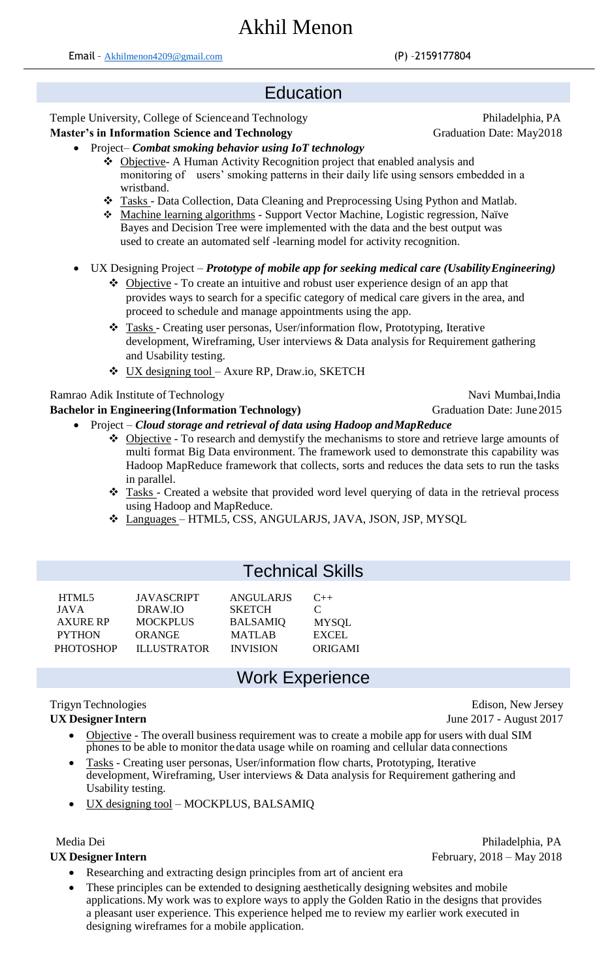## **Education**

#### Temple University, College of Science and Technology Philadelphia, PA

#### **Master's in Information Science and Technology Graduation Date: May2018**

- Project*– Combat smoking behavior using IoT technology*
	- ❖ Objective- A Human Activity Recognition project that enabled analysis and monitoring of users' smoking patterns in their daily life using sensors embedded in a wristband.
	- ❖ Tasks Data Collection, Data Cleaning and Preprocessing Using Python and Matlab.
	- ❖ Machine learning algorithms Support Vector Machine, Logistic regression, Naïve Bayes and Decision Tree were implemented with the data and the best output was used to create an automated self -learning model for activity recognition.
- UX Designing Project *– Prototype of mobile app for seeking medical care (UsabilityEngineering)*
	- ❖ Objective To create an intuitive and robust user experience design of an app that provides ways to search for a specific category of medical care givers in the area, and proceed to schedule and manage appointments using the app.
	- ❖ Tasks Creating user personas, User/information flow, Prototyping, Iterative development, Wireframing, User interviews & Data analysis for Requirement gathering and Usability testing.
	- ❖ UX designing tool Axure RP, Draw.io, SKETCH

Ramrao Adik Institute of Technology Navi Mumbai, India

#### **Bachelor in Engineering (Information Technology)** Graduation Date: June 2015

- Project *Cloud storage and retrieval of data using Hadoop andMapReduce*
	- ❖ Objective To research and demystify the mechanisms to store and retrieve large amounts of multi format Big Data environment. The framework used to demonstrate this capability was Hadoop MapReduce framework that collects, sorts and reduces the data sets to run the tasks in parallel.
	- ❖ Tasks Created a website that provided word level querying of data in the retrieval process using Hadoop and MapReduce.
	- ❖ Languages HTML5, CSS, ANGULARJS, JAVA, JSON, JSP, MYSQL

## Technical Skills

| HTML5            | <b>JAVASCRIPT</b>  | <b>ANGULARIS</b> | $C++$         |
|------------------|--------------------|------------------|---------------|
| JAVA             | DRAW IO            | <b>SKETCH</b>    | $\mathcal{C}$ |
| <b>AXURE RP</b>  | <b>MOCKPLUS</b>    | <b>BALSAMIQ</b>  | <b>MYSQL</b>  |
| <b>PYTHON</b>    | <b>ORANGE</b>      | <b>MATLAB</b>    | EXCEL.        |
| <b>PHOTOSHOP</b> | <b>ILLUSTRATOR</b> | <b>INVISION</b>  | ORIGAMI       |
|                  |                    |                  |               |

## Work Experience

# Trigyn Technologies Edison, New Jersey

### **UX Designer Intern** June 2017 - August 2017

- Objective The overall business requirement was to create a mobile app for users with dual SIM phones to be able to monitor thedata usage while on roaming and cellular data connections
- Tasks Creating user personas, User/information flow charts, Prototyping, Iterative development, Wireframing, User interviews & Data analysis for Requirement gathering and Usability testing.
- UX designing tool MOCKPLUS, BALSAMIQ

- Researching and extracting design principles from art of ancient era
	- These principles can be extended to designing aesthetically designing websites and mobile applications.My work was to explore ways to apply the Golden Ratio in the designs that provides a pleasant user experience. This experience helped me to review my earlier work executed in designing wireframes for a mobile application.

 Media Dei Philadelphia, PA **UX Designer Intern** February, 2018 – May 2018